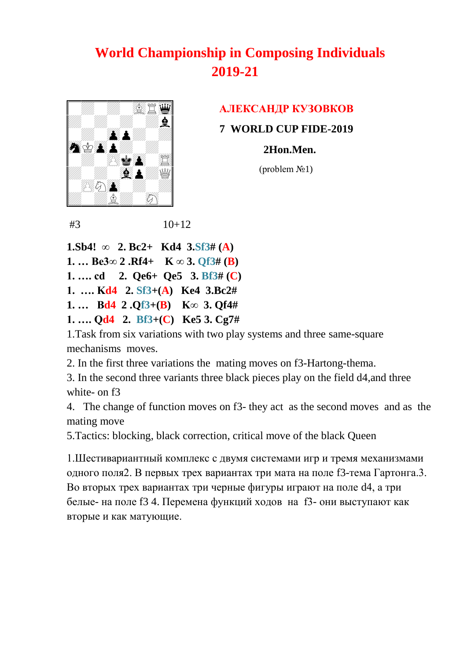

#### **AЛЕКСАНДР КУЗОВКОВ**

 **7 WORLD CUP FIDE-2019**

 **2Hon.Men.**

 $$ 

 $#3$  10+12

**1.Sb4! ∞ 2. Bc2+ Kd4 3.Sf3# (A) 1. … Be3∞ 2 .Rf4+ K ∞ 3. Qf3# (B) 1. …. cd 2. Qe6+ Qe5 3. Bf3# (C) 1. …. Kd4 2. Sf3+(A) Ke4 3.Bc2# 1. … Bd4 2 .Qf3+(B) K∞ 3. Qf4# 1. …. Qd4 2. Bf3+(C) Ke5 3. Cg7#** 

1.Task from six variations with two play systems and three same-square mechanisms moves.

2. In the first three variations the mating moves on f3-Hartong-thema.

3. In the second three variants three black pieces play on the field d4,and three white- on f3

4. The change of function moves on f3- they act as the second moves and as the mating move

5.Tactics: blocking, black correction, critical move of the black Queen

1.Шестивариантный комплекс с двумя системами игр и тремя механизмами одного поля2. В первых трех вариантах три мата на поле f3-тема Гартонга.3. Во вторых трех вариантах три черные фигуры играют на поле d4, а три белые- на поле f3 4. Перемена функций ходов на f3- они выступают как вторые и как матующие.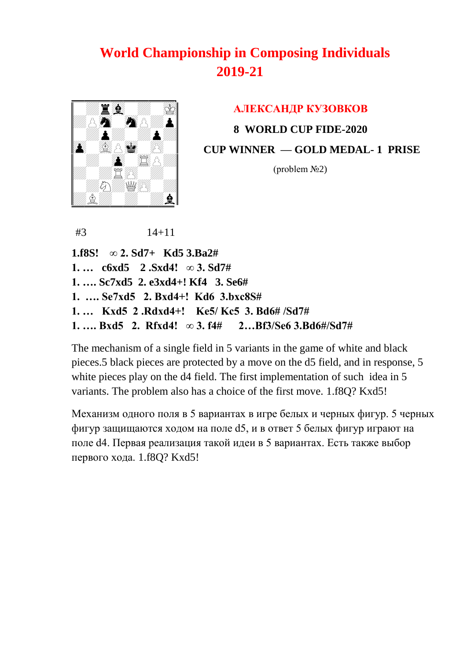

# **AЛЕКСАНДР КУЗОВКОВ 8 WORLD CUP FIDE-2020 CUP WINNER — GOLD MEDAL- 1 PRISE**

 $$ 

#3 14+11

**1.f8S! ∞ 2. Sd7+ Kd5 3.Ba2# 1. … c6xd5 2 .Sxd4! ∞ 3. Sd7# 1. …. Sc7xd5 2. e3xd4+! Kf4 3. Se6# 1. …. Se7xd5 2. Bxd4+! Kd6 3.bxc8S# 1. … Kxd5 2 .Rdxd4+! Ke5/ Kc5 3. Bd6# /Sd7# 1. …. Bxd5 2. Rfxd4! ∞ 3. f4# 2…Bf3/Se6 3.Bd6#/Sd7#** 

The mechanism of a single field in 5 variants in the game of white and black pieces.5 black pieces are protected by a move on the d5 field, and in response, 5 white pieces play on the d4 field. The first implementation of such idea in 5 variants. The problem also has a choice of the first move. 1.f8Q? Kxd5!

Механизм одного поля в 5 вариантах в игре белых и черных фигур. 5 черных фигур защищаются ходом на поле d5, и в ответ 5 белых фигур играют на поле d4. Первая реализация такой идеи в 5 вариантах. Есть также выбор первого хода. 1.f8Q? Kxd5!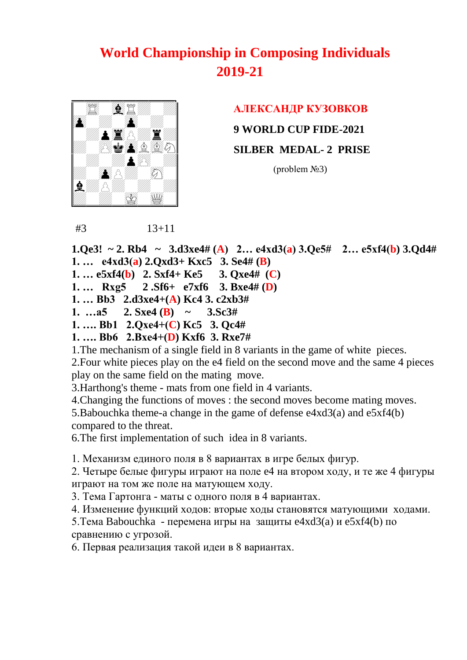

#### **AЛЕКСАНДР КУЗОВКОВ**

 **9 WORLD CUP FIDE-2021**

 **SILBER MEDAL- 2 PRISE** 

 $$ 

#3 13+11

**1.Qe3!** ~ 2. Rb4 ~ 3.d3xe4# (A) 2... e4xd3(a) 3.Qe5# 2... e5xf4(b) 3.Qd4# **1. … e4xd3(a) 2.Qxd3+ Kxc5 3. Se4# (B)** 

**1. … e5xf4(b) 2. Sxf4+ Ke5 3. Qxe4# (C)** 

**1. … Rxg5 2 .Sf6+ e7xf6 3. Bxe4# (D)** 

**1. … Bb3 2.d3xe4+(A) Kc4 3. c2xb3#** 

**1.** …a5 2. Sxe4 (**B**) ~ 3. Sc3#

**1. …. Bb1 2.Qxe4+(C) Kc5 3. Qc4#** 

**1. …. Bb6 2.Bxe4+(D) Kxf6 3. Rxe7#** 

1.The mechanism of a single field in 8 variants in the game of white pieces.

2.Four white pieces play on the e4 field on the second move and the same 4 pieces play on the same field on the mating move.

3.Harthong's theme - mats from one field in 4 variants.

4.Changing the functions of moves : the second moves become mating moves.

5.Babouchka theme-a change in the game of defense e4xd3(a) and e5xf4(b) compared to the threat.

6.The first implementation of such idea in 8 variants.

1. Механизм единого поля в 8 вариантах в игре белых фигур.

2. Четыре белые фигуры играют на поле e4 на втором ходу, и те же 4 фигуры играют на том же поле на матующем ходу.

3. Тема Гартонга - маты с одного поля в 4 вариантах.

4. Изменение функций ходов: вторые ходы становятся матующими ходами.

5.Тема Babouchka - перемена игры на защиты e4xd3(a) и e5xf4(b) по сравнению с угрозой.

6. Первая реализация такой идеи в 8 вариантах.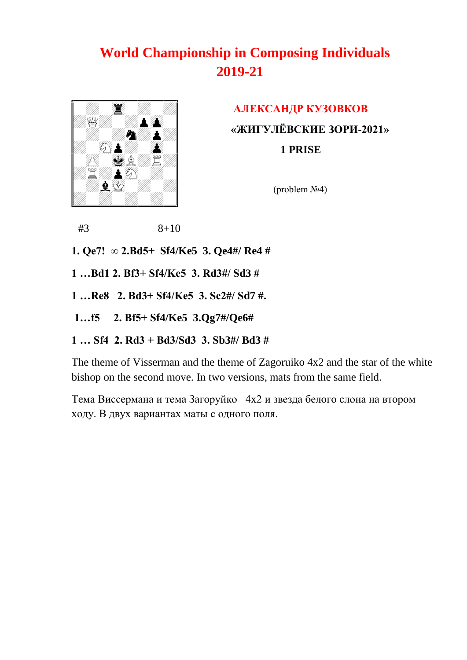

 **AЛЕКСАНДР КУЗОВКОВ «ЖИГУЛЁВСКИЕ ЗОРИ-2021» 1 PRISE** 

(problem №4)

 $#3$  8+10

- **1. Qe7! ∞ 2.Bd5+ Sf4/Ke5 3. Qe4#/ Re4 #**
- **1 …Bd1 2. Bf3+ Sf4/Ke5 3. Rd3#/ Sd3 #**
- **1 …Re8 2. Bd3+ Sf4/Ke5 3. Sc2#/ Sd7 #.**
- **1…f5 2. Bf5+ Sf4/Ke5 3.Qg7#/Qe6#**
- **1 … Sf4 2. Rd3 + Bd3/Sd3 3. Sb3#/ Bd3 #**

The theme of Visserman and the theme of Zagoruiko 4x2 and the star of the white bishop on the second move. In two versions, mats from the same field.

Тема Виссермана и тема Загоруйко 4х2 и звезда белого слона на втором ходу. В двух вариантах маты с одного поля.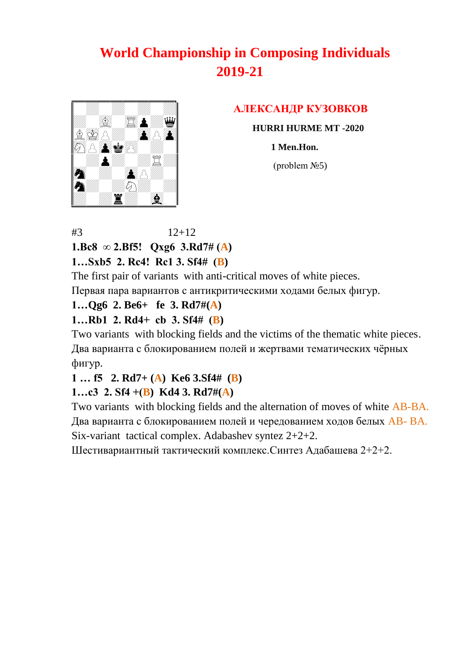

### **AЛЕКСАНДР КУЗОВКОВ**

 **HURRI HURME MT -2020** 

 **1 Men.Hon.**

 $$ 

 $#3$  12+12 **1.Bc8 ∞ 2.Bf5! Qxg6 3.Rd7# (A)** 

**1…Sxb5 2. Rc4! Rc1 3. Sf4# (B)** 

The first pair of variants with anti-critical moves of white pieces.

Первая пара вариантов с антикритическими ходами белых фигур.

#### **1…Qg6 2. Be6+ fe 3. Rd7#(A)**

### **1…Rb1 2. Rd4+ cb 3. Sf4# (B)**

Two variants with blocking fields and the victims of the thematic white pieces. Два варианта с блокированием полей и жертвами тематических чѐрных фигур.

#### **1 … f5 2. Rd7+ (A) Ke6 3.Sf4# (B)**

### **1…с3 2. Sf4 +(B) Kd4 3. Rd7#(A)**

Two variants with blocking fields and the alternation of moves of white AB-BA. Два варианта с блокированием полей и чередованием ходов белых AB- BA. Six-variant tactical complex. Adabashev syntez 2+2+2.

Шестивариантный тактический комплекс.Синтез Адабашева 2+2+2.